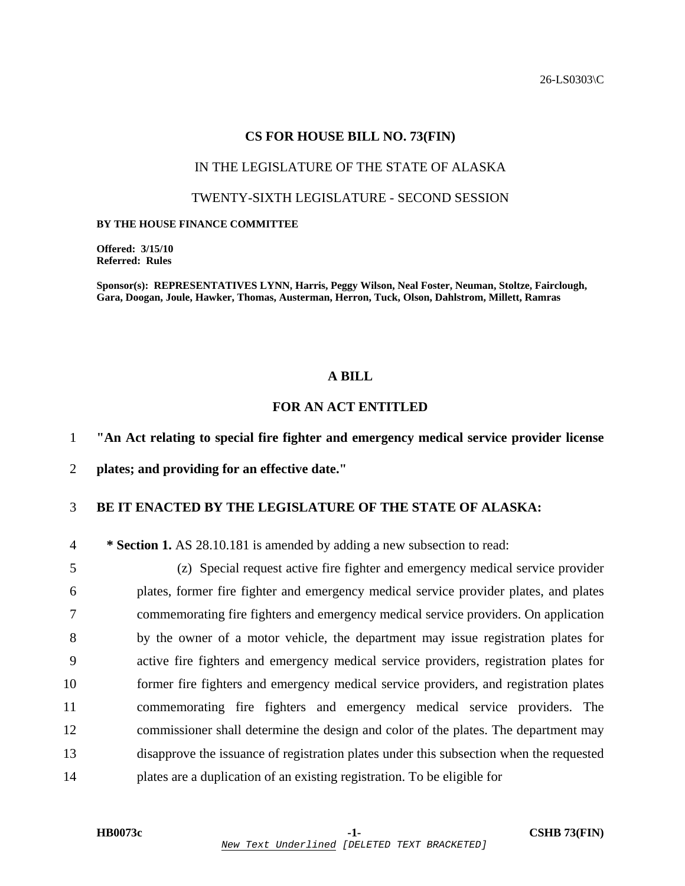26-LS0303\C

#### **CS FOR HOUSE BILL NO. 73(FIN)**

#### IN THE LEGISLATURE OF THE STATE OF ALASKA

### TWENTY-SIXTH LEGISLATURE - SECOND SESSION

#### **BY THE HOUSE FINANCE COMMITTEE**

**Offered: 3/15/10 Referred: Rules** 

**Sponsor(s): REPRESENTATIVES LYNN, Harris, Peggy Wilson, Neal Foster, Neuman, Stoltze, Fairclough, Gara, Doogan, Joule, Hawker, Thomas, Austerman, Herron, Tuck, Olson, Dahlstrom, Millett, Ramras** 

## **A BILL**

# **FOR AN ACT ENTITLED**

1 **"An Act relating to special fire fighter and emergency medical service provider license** 

2 **plates; and providing for an effective date."** 

## 3 **BE IT ENACTED BY THE LEGISLATURE OF THE STATE OF ALASKA:**

4 **\* Section 1.** AS 28.10.181 is amended by adding a new subsection to read:

5 (z) Special request active fire fighter and emergency medical service provider 6 plates, former fire fighter and emergency medical service provider plates, and plates 7 commemorating fire fighters and emergency medical service providers. On application 8 by the owner of a motor vehicle, the department may issue registration plates for 9 active fire fighters and emergency medical service providers, registration plates for 10 former fire fighters and emergency medical service providers, and registration plates 11 commemorating fire fighters and emergency medical service providers. The 12 commissioner shall determine the design and color of the plates. The department may 13 disapprove the issuance of registration plates under this subsection when the requested 14 plates are a duplication of an existing registration. To be eligible for